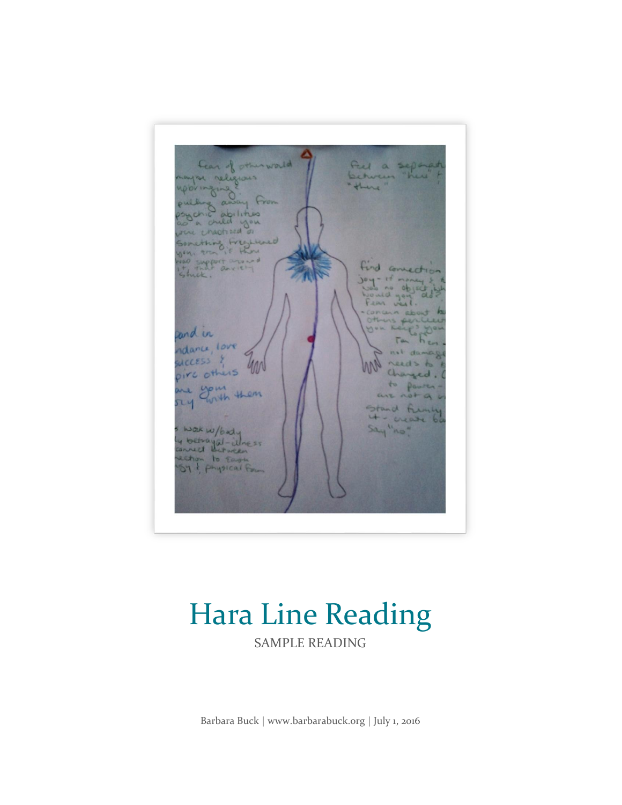Ful a separat Lear of relig there From abilities hild you e macity sed  $\sigma$ Something Fregue<br>1941, and if Hung<br>14 India and 1941 find connect  $rF$ £d. and in idance, love WCCESS pire others are your them  $\overline{\mathfrak{u}}$ fu weare Wax w/bady<br>y betrayal-illness Say "ho" ection to East

# Hara Line Reading

SAMPLE READING

Barbara Buck | www.barbarabuck.org | July 1, 2016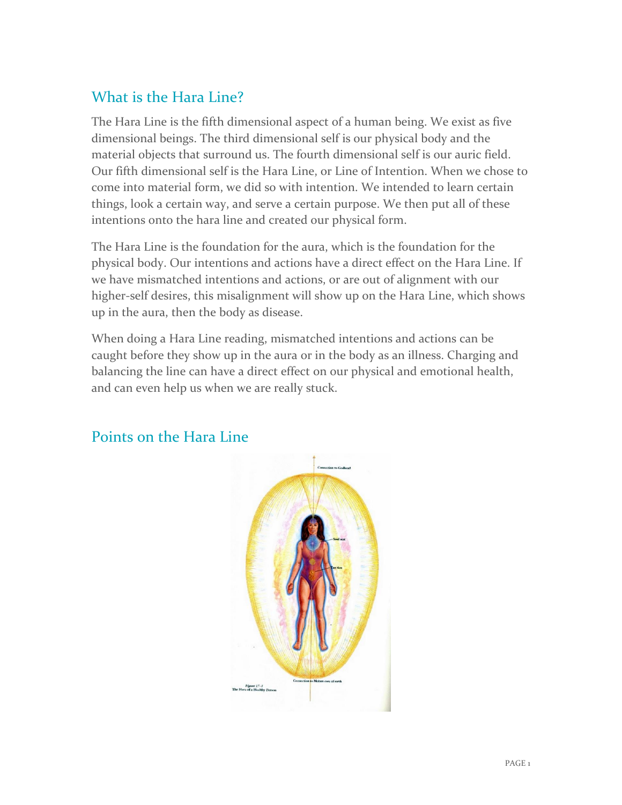## What is the Hara Line?

The Hara Line is the fifth dimensional aspect of a human being. We exist as five dimensional beings. The third dimensional self is our physical body and the material objects that surround us. The fourth dimensional self is our auric field. Our fifth dimensional self is the Hara Line, or Line of Intention. When we chose to come into material form, we did so with intention. We intended to learn certain things, look a certain way, and serve a certain purpose. We then put all of these intentions onto the hara line and created our physical form.

The Hara Line is the foundation for the aura, which is the foundation for the physical body. Our intentions and actions have a direct effect on the Hara Line. If we have mismatched intentions and actions, or are out of alignment with our higher-self desires, this misalignment will show up on the Hara Line, which shows up in the aura, then the body as disease.

When doing a Hara Line reading, mismatched intentions and actions can be caught before they show up in the aura or in the body as an illness. Charging and balancing the line can have a direct effect on our physical and emotional health, and can even help us when we are really stuck.



### Points on the Hara Line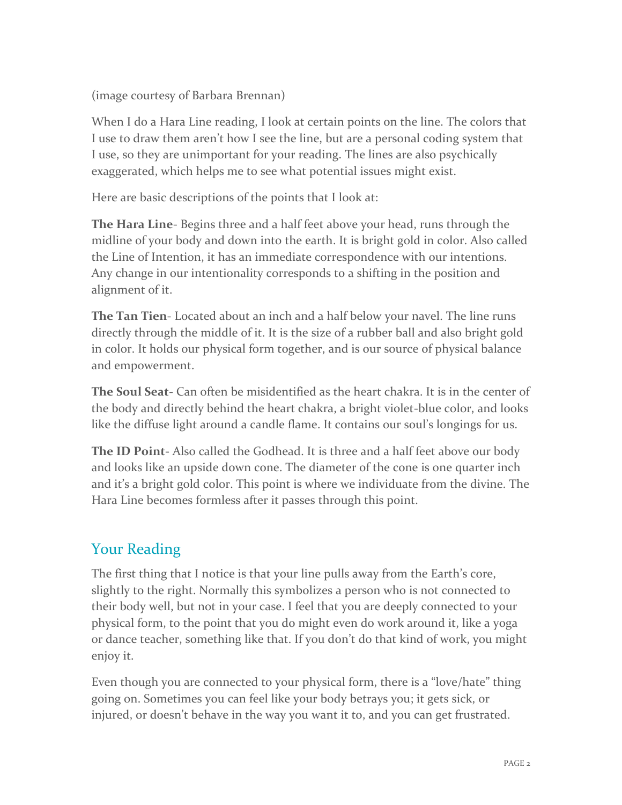(image courtesy of Barbara Brennan)

When I do a Hara Line reading, I look at certain points on the line. The colors that I use to draw them aren't how I see the line, but are a personal coding system that I use, so they are unimportant for your reading. The lines are also psychically exaggerated, which helps me to see what potential issues might exist.

Here are basic descriptions of the points that I look at:

**The Hara Line**- Begins three and a half feet above your head, runs through the midline of your body and down into the earth. It is bright gold in color. Also called the Line of Intention, it has an immediate correspondence with our intentions. Any change in our intentionality corresponds to a shifting in the position and alignment of it.

**The Tan Tien**- Located about an inch and a half below your navel. The line runs directly through the middle of it. It is the size of a rubber ball and also bright gold in color. It holds our physical form together, and is our source of physical balance and empowerment.

**The Soul Seat**- Can often be misidentified as the heart chakra. It is in the center of the body and directly behind the heart chakra, a bright violet-blue color, and looks like the diffuse light around a candle flame. It contains our soul's longings for us.

**The ID Point-** Also called the Godhead. It is three and a half feet above our body and looks like an upside down cone. The diameter of the cone is one quarter inch and it's a bright gold color. This point is where we individuate from the divine. The Hara Line becomes formless after it passes through this point.

### Your Reading

The first thing that I notice is that your line pulls away from the Earth's core, slightly to the right. Normally this symbolizes a person who is not connected to their body well, but not in your case. I feel that you are deeply connected to your physical form, to the point that you do might even do work around it, like a yoga or dance teacher, something like that. If you don't do that kind of work, you might enjoy it.

Even though you are connected to your physical form, there is a "love/hate" thing going on. Sometimes you can feel like your body betrays you; it gets sick, or injured, or doesn't behave in the way you want it to, and you can get frustrated.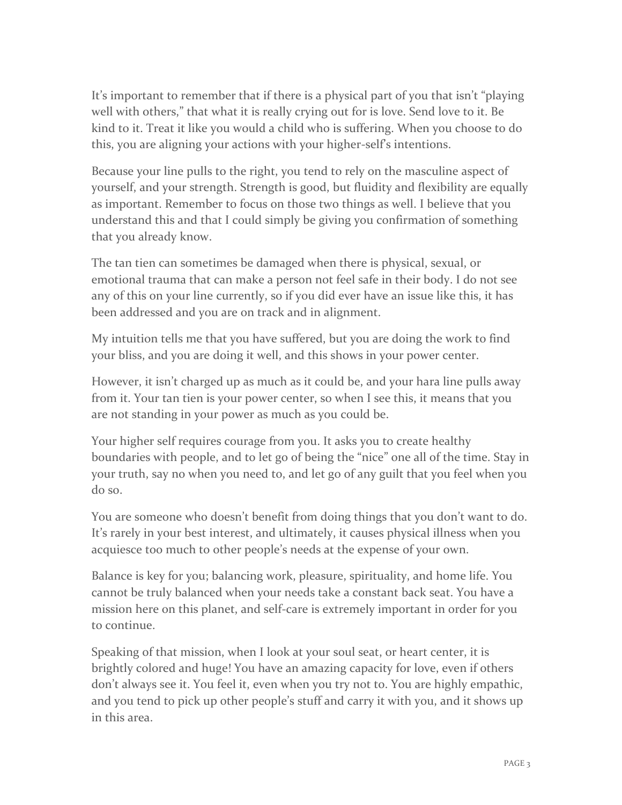It's important to remember that if there is a physical part of you that isn't "playing well with others," that what it is really crying out for is love. Send love to it. Be kind to it. Treat it like you would a child who is suffering. When you choose to do this, you are aligning your actions with your higher-self's intentions.

Because your line pulls to the right, you tend to rely on the masculine aspect of yourself, and your strength. Strength is good, but fluidity and flexibility are equally as important. Remember to focus on those two things as well. I believe that you understand this and that I could simply be giving you confirmation of something that you already know.

The tan tien can sometimes be damaged when there is physical, sexual, or emotional trauma that can make a person not feel safe in their body. I do not see any of this on your line currently, so if you did ever have an issue like this, it has been addressed and you are on track and in alignment.

My intuition tells me that you have suffered, but you are doing the work to find your bliss, and you are doing it well, and this shows in your power center.

However, it isn't charged up as much as it could be, and your hara line pulls away from it. Your tan tien is your power center, so when I see this, it means that you are not standing in your power as much as you could be.

Your higher self requires courage from you. It asks you to create healthy boundaries with people, and to let go of being the "nice" one all of the time. Stay in your truth, say no when you need to, and let go of any guilt that you feel when you do so.

You are someone who doesn't benefit from doing things that you don't want to do. It's rarely in your best interest, and ultimately, it causes physical illness when you acquiesce too much to other people's needs at the expense of your own.

Balance is key for you; balancing work, pleasure, spirituality, and home life. You cannot be truly balanced when your needs take a constant back seat. You have a mission here on this planet, and self-care is extremely important in order for you to continue.

Speaking of that mission, when I look at your soul seat, or heart center, it is brightly colored and huge! You have an amazing capacity for love, even if others don't always see it. You feel it, even when you try not to. You are highly empathic, and you tend to pick up other people's stuff and carry it with you, and it shows up in this area.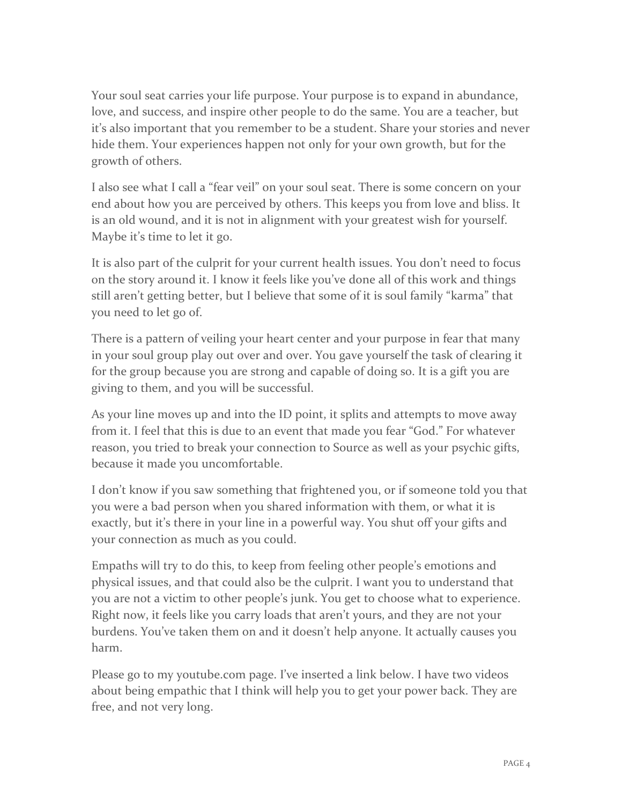Your soul seat carries your life purpose. Your purpose is to expand in abundance, love, and success, and inspire other people to do the same. You are a teacher, but it's also important that you remember to be a student. Share your stories and never hide them. Your experiences happen not only for your own growth, but for the growth of others.

I also see what I call a "fear veil" on your soul seat. There is some concern on your end about how you are perceived by others. This keeps you from love and bliss. It is an old wound, and it is not in alignment with your greatest wish for yourself. Maybe it's time to let it go.

It is also part of the culprit for your current health issues. You don't need to focus on the story around it. I know it feels like you've done all of this work and things still aren't getting better, but I believe that some of it is soul family "karma" that you need to let go of.

There is a pattern of veiling your heart center and your purpose in fear that many in your soul group play out over and over. You gave yourself the task of clearing it for the group because you are strong and capable of doing so. It is a gift you are giving to them, and you will be successful.

As your line moves up and into the ID point, it splits and attempts to move away from it. I feel that this is due to an event that made you fear "God." For whatever reason, you tried to break your connection to Source as well as your psychic gifts, because it made you uncomfortable.

I don't know if you saw something that frightened you, or if someone told you that you were a bad person when you shared information with them, or what it is exactly, but it's there in your line in a powerful way. You shut off your gifts and your connection as much as you could.

Empaths will try to do this, to keep from feeling other people's emotions and physical issues, and that could also be the culprit. I want you to understand that you are not a victim to other people's junk. You get to choose what to experience. Right now, it feels like you carry loads that aren't yours, and they are not your burdens. You've taken them on and it doesn't help anyone. It actually causes you harm.

Please go to my youtube.com page. I've inserted a link below. I have two videos about being empathic that I think will help you to get your power back. They are free, and not very long.